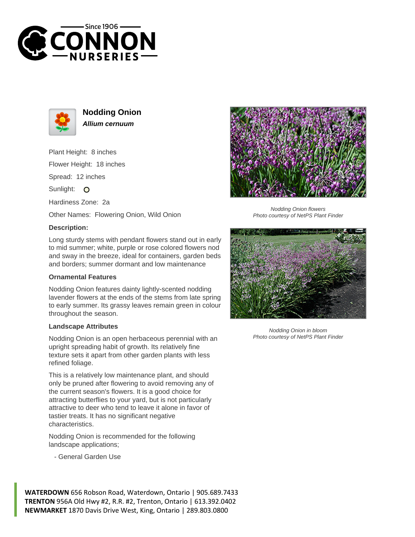



**Nodding Onion Allium cernuum**

Plant Height: 8 inches Flower Height: 18 inches Spread: 12 inches

Sunlight: O

Hardiness Zone: 2a

Other Names: Flowering Onion, Wild Onion

## **Description:**

Long sturdy stems with pendant flowers stand out in early to mid summer; white, purple or rose colored flowers nod and sway in the breeze, ideal for containers, garden beds and borders; summer dormant and low maintenance

## **Ornamental Features**

Nodding Onion features dainty lightly-scented nodding lavender flowers at the ends of the stems from late spring to early summer. Its grassy leaves remain green in colour throughout the season.

## **Landscape Attributes**

Nodding Onion is an open herbaceous perennial with an upright spreading habit of growth. Its relatively fine texture sets it apart from other garden plants with less refined foliage.

This is a relatively low maintenance plant, and should only be pruned after flowering to avoid removing any of the current season's flowers. It is a good choice for attracting butterflies to your yard, but is not particularly attractive to deer who tend to leave it alone in favor of tastier treats. It has no significant negative characteristics.

Nodding Onion is recommended for the following landscape applications;

- General Garden Use

**WATERDOWN** 656 Robson Road, Waterdown, Ontario | 905.689.7433



Nodding Onion flowers Photo courtesy of NetPS Plant Finder



Nodding Onion in bloom Photo courtesy of NetPS Plant Finder

**TRENTON** 956A Old Hwy #2, R.R. #2, Trenton, Ontario | 613.392.0402 **NEWMARKET** 1870 Davis Drive West, King, Ontario | 289.803.0800